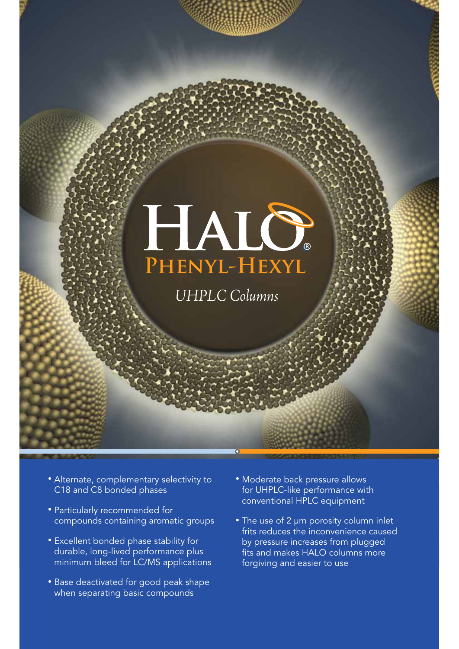

# *UHPLC Columns*

- Alternate, complementary selectivity to C18 and C8 bonded phases
- Particularly recommended for compounds containing aromatic groups
- Excellent bonded phase stability for durable, long-lived performance plus minimum bleed for LC/MS applications
- Base deactivated for good peak shape when separating basic compounds
- Moderate back pressure allows for UHPLC-like performance with conventional HPLC equipment
- The use of 2 μm porosity column inlet frits reduces the inconvenience caused by pressure increases from plugged fits and makes HALO columns more forgiving and easier to use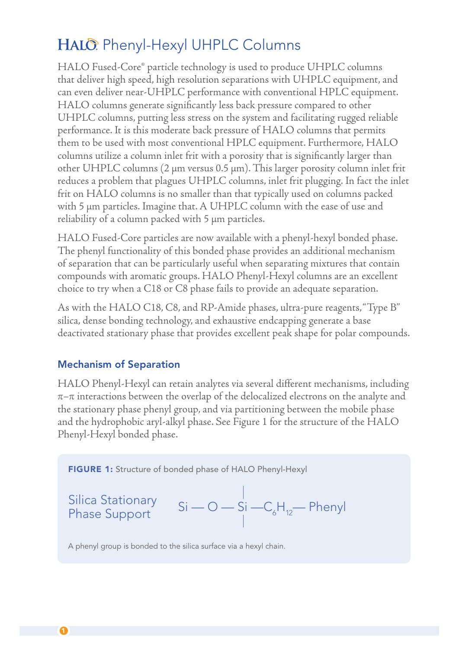## HALO: Phenyl-Hexyl UHPLC Columns

HALO Fused-Core® particle technology is used to produce UHPLC columns that deliver high speed, high resolution separations with UHPLC equipment, and can even deliver near-UHPLC performance with conventional HPLC equipment. HALO columns generate significantly less back pressure compared to other UHPLC columns, putting less stress on the system and facilitating rugged reliable performance. It is this moderate back pressure of HALO columns that permits them to be used with most conventional HPLC equipment. Furthermore, HALO columns utilize a column inlet frit with a porosity that is significantly larger than other UHPLC columns ( $2 \mu m$  versus 0.5  $\mu$ m). This larger porosity column inlet frit reduces a problem that plagues UHPLC columns, inlet frit plugging. In fact the inlet frit on HALO columns is no smaller than that typically used on columns packed with 5 um particles. Imagine that. A UHPLC column with the ease of use and reliability of a column packed with  $5 \mu m$  particles.

HALO Fused-Core particles are now available with a phenyl-hexyl bonded phase. The phenyl functionality of this bonded phase provides an additional mechanism of separation that can be particularly useful when separating mixtures that contain compounds with aromatic groups. HALO Phenyl-Hexyl columns are an excellent choice to try when a C18 or C8 phase fails to provide an adequate separation.

As with the HALO C18, C8, and RP-Amide phases, ultra-pure reagents, "Type B" silica, dense bonding technology, and exhaustive endcapping generate a base deactivated stationary phase that provides excellent peak shape for polar compounds.

### Mechanism of Separation

HALO Phenyl-Hexyl can retain analytes via several different mechanisms, including  $\pi$ – $\pi$  interactions between the overlap of the delocalized electrons on the analyte and the stationary phase phenyl group, and via partitioning between the mobile phase and the hydrophobic aryl-alkyl phase. See Figure 1 for the structure of the HALO Phenyl-Hexyl bonded phase.



| Silica Stationary | $S_i$ | $O$ | $S_i$ | $-C_6H_{12}$ | Phenyl |
|-------------------|-------|-----|-------|--------------|--------|
| Phase Support     | $S_i$ | $O$ | $S_i$ | $-C_6H_{12}$ | Phenyl |

A phenyl group is bonded to the silica surface via a hexyl chain.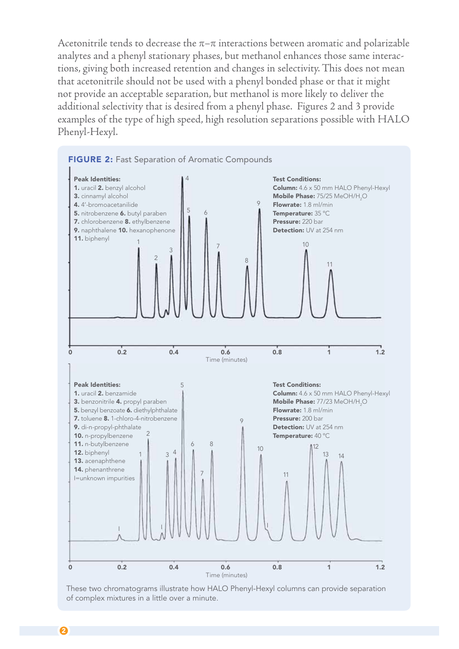Acetonitrile tends to decrease the  $\pi-\pi$  interactions between aromatic and polarizable analytes and a phenyl stationary phases, but methanol enhances those same interactions, giving both increased retention and changes in selectivity. This does not mean that acetonitrile should not be used with a phenyl bonded phase or that it might not provide an acceptable separation, but methanol is more likely to deliver the additional selectivity that is desired from a phenyl phase. Figures 2 and 3 provide examples of the type of high speed, high resolution separations possible with HALO Phenyl-Hexyl.



These two chromatograms illustrate how HALO Phenyl-Hexyl columns can provide separation of complex mixtures in a little over a minute.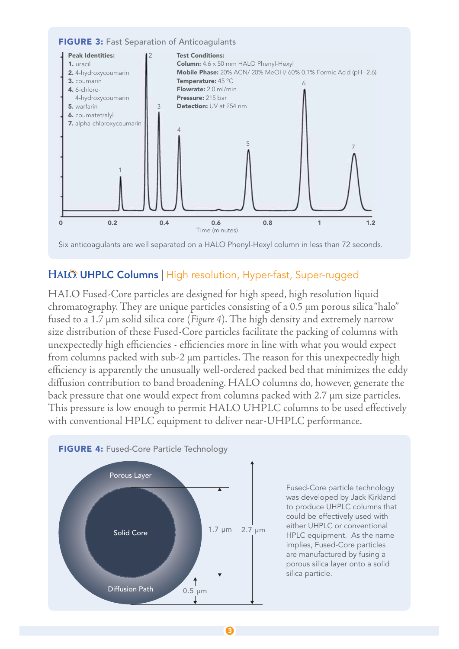#### FIGURE 3: Fast Separation of Anticoagulants



Six anticoagulants are well separated on a HALO Phenyl-Hexyl column in less than 72 seconds.

#### HALO UHPLC Columns | High resolution, Hyper-fast, Super-rugged

HALO Fused-Core particles are designed for high speed, high resolution liquid chromatography. They are unique particles consisting of a  $0.5 \mu m$  porous silica "halo" fused to a 1.7  $\mu$ m solid silica core (Figure 4). The high density and extremely narrow size distribution of these Fused-Core particles facilitate the packing of columns with unexpectedly high efficiencies - efficiencies more in line with what you would expect from columns packed with sub-2 µm particles. The reason for this unexpectedly high efficiency is apparently the unusually well-ordered packed bed that minimizes the eddy diffusion contribution to band broadening. HALO columns do, however, generate the back pressure that one would expect from columns packed with 2.7 µm size particles. This pressure is low enough to permit HALO UHPLC columns to be used effectively with conventional HPLC equipment to deliver near-UHPLC performance.



Fused-Core particle technology was developed by Jack Kirkland to produce UHPLC columns that could be effectively used with either UHPLC or conventional HPLC equipment. As the name implies, Fused-Core particles are manufactured by fusing a porous silica layer onto a solid silica particle.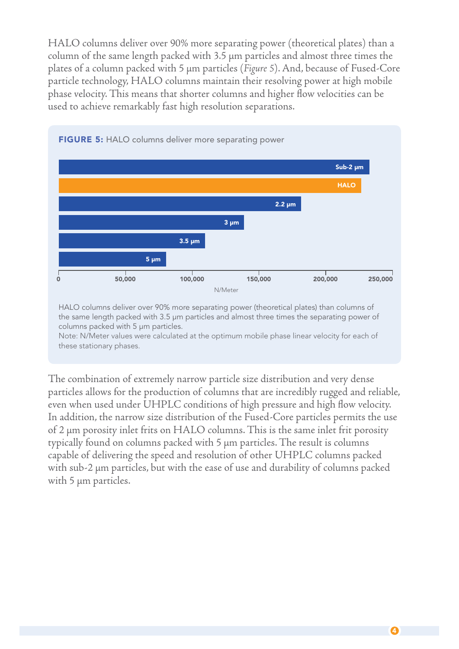HALO columns deliver over 90% more separating power (theoretical plates) than a  $column of the same length packed with 3.5 µm particles and almost three times the$ plates of a column packed with 5 µm particles (Figure 5). And, because of Fused-Core particle technology, HALO columns maintain their resolving power at high mobile phase velocity. This means that shorter columns and higher flow velocities can be used to achieve remarkably fast high resolution separations.



**FIGURE 5: HALO columns deliver more separating power** 

HALO columns deliver over 90% more separating power (theoretical plates) than columns of the same length packed with 3.5 μm particles and almost three times the separating power of columns packed with 5 μm particles.

Note: N/Meter values were calculated at the optimum mobile phase linear velocity for each of these stationary phases.

The combination of extremely narrow particle size distribution and very dense particles allows for the production of columns that are incredibly rugged and reliable, even when used under UHPLC conditions of high pressure and high flow velocity. In addition, the narrow size distribution of the Fused-Core particles permits the use of 2 µm porosity inlet frits on HALO columns. This is the same inlet frit porosity typically found on columns packed with 5 µm particles. The result is columns capable of delivering the speed and resolution of other UHPLC columns packed with sub-2 µm particles, but with the ease of use and durability of columns packed with  $5 \mu m$  particles.